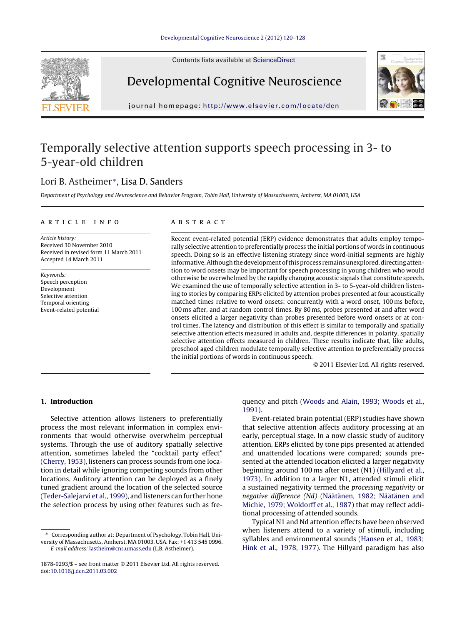Contents lists available at [ScienceDirect](http://www.sciencedirect.com/science/journal/18789293)



Developmental Cognitive Neuroscience



journal homepage: http://www.elsevier.com/locate/dcn

# Temporally selective attention supports speech processing in 3- to 5-year-old children

## Lori B. Astheimer <sup>∗</sup>, Lisa D. Sanders

Department of Psychology and Neuroscience and Behavior Program, Tobin Hall, University of Massachusetts, Amherst, MA 01003, USA

## a r t i c l e i n f o

Article history: Received 30 November 2010 Received in revised form 11 March 2011 Accepted 14 March 2011

Keywords: Speech perception Development Selective attention Temporal orienting Event-related potential

## A B S T R A C T

Recent event-related potential (ERP) evidence demonstrates that adults employ temporally selective attention to preferentially process the initial portions of words in continuous speech. Doing so is an effective listening strategy since word-initial segments are highly informative. Although the development of this process remains unexplored, directing attention to word onsets may be important for speech processing in young children who would otherwise be overwhelmed by the rapidly changing acoustic signals that constitute speech. We examined the use of temporally selective attention in 3- to 5-year-old children listening to stories by comparing ERPs elicited by attention probes presented at four acoustically matched times relative to word onsets: concurrently with a word onset, 100 ms before, 100 ms after, and at random control times. By 80 ms, probes presented at and after word onsets elicited a larger negativity than probes presented before word onsets or at control times. The latency and distribution of this effect is similar to temporally and spatially selective attention effects measured in adults and, despite differences in polarity, spatially selective attention effects measured in children. These results indicate that, like adults, preschool aged children modulate temporally selective attention to preferentially process the initial portions of words in continuous speech.

© 2011 Elsevier Ltd. All rights reserved.

## **1. Introduction**

Selective attention allows listeners to preferentially process the most relevant information in complex environments that would otherwise overwhelm perceptual systems. Through the use of auditory spatially selective attention, sometimes labeled the "cocktail party effect" [\(Cherry,](#page-7-0) [1953\),](#page-7-0) listeners can process sounds from one location in detail while ignoring competing sounds from other locations. Auditory attention can be deployed as a finely tuned gradient around the location of the selected source [\(Teder-Salejarvi](#page-8-0) et [al.,](#page-8-0) [1999\),](#page-8-0) and listeners can further hone the selection process by using other features such as fre-

∗ Corresponding author at: Department of Psychology, Tobin Hall, University of Massachusetts, Amherst, MA 01003, USA. Fax: +1 413 545 0996. E-mail address: [lastheim@cns.umass.edu](mailto:lastheim@cns.umass.edu) (L.B. Astheimer).

quency and pitch ([Woods](#page-8-0) [and](#page-8-0) [Alain,](#page-8-0) [1993;](#page-8-0) [Woods](#page-8-0) et [al.,](#page-8-0) [1991\).](#page-8-0)

Event-related brain potential (ERP) studies have shown that selective attention affects auditory processing at an early, perceptual stage. In a now classic study of auditory attention, ERPs elicited by tone pips presented at attended and unattended locations were compared; sounds presented at the attended location elicited a larger negativity beginning around 100 ms after onset (N1) [\(Hillyard](#page-8-0) et [al.,](#page-8-0) [1973\).](#page-8-0) In addition to a larger N1, attended stimuli elicit a sustained negativity termed the processing negativity or negative difference (Nd) [\(Näätänen,](#page-8-0) [1982;](#page-8-0) [Näätänen](#page-8-0) [and](#page-8-0) [Michie,](#page-8-0) [1979;](#page-8-0) [Woldorff](#page-8-0) et [al.,](#page-8-0) [1987\)](#page-8-0) that may reflect additional processing of attended sounds.

Typical N1 and Nd attention effects have been observed when listeners attend to a variety of stimuli, including syllables and environmental sounds [\(Hansen](#page-8-0) et [al.,](#page-8-0) [1983;](#page-8-0) [Hink](#page-8-0) et [al.,](#page-8-0) [1978,](#page-8-0) [1977\).](#page-8-0) The Hillyard paradigm has also

<sup>1878-9293/\$</sup> – see front matter © 2011 Elsevier Ltd. All rights reserved. doi:[10.1016/j.dcn.2011.03.002](dx.doi.org/10.1016/j.dcn.2011.03.002)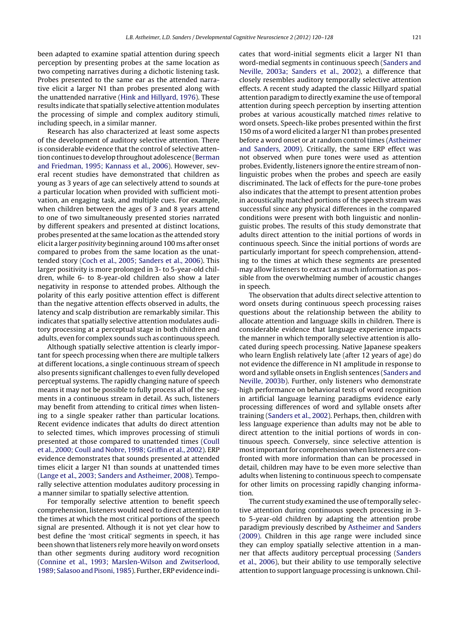been adapted to examine spatial attention during speech perception by presenting probes at the same location as two competing narratives during a dichotic listening task. Probes presented to the same ear as the attended narrative elicit a larger N1 than probes presented along with the unattended narrative [\(Hink](#page-8-0) [and](#page-8-0) [Hillyard,](#page-8-0) [1976\).](#page-8-0) These results indicate that spatially selective attention modulates the processing of simple and complex auditory stimuli, including speech, in a similar manner.

Research has also characterized at least some aspects of the development of auditory selective attention. There is considerable evidence that the control of selective attention continues to develop throughout adolescence ([Berman](#page-7-0) [and](#page-7-0) [Friedman,](#page-7-0) [1995;](#page-7-0) [Kannass](#page-7-0) et [al.,](#page-7-0) [2006\).](#page-7-0) However, several recent studies have demonstrated that children as young as 3 years of age can selectively attend to sounds at a particular location when provided with sufficient motivation, an engaging task, and multiple cues. For example, when children between the ages of 3 and 8 years attend to one of two simultaneously presented stories narrated by different speakers and presented at distinct locations, probes presented atthe same location as the attended story elicit a larger positivity beginning around 100 ms after onset compared to probes from the same location as the unattended story [\(Coch](#page-7-0) et [al.,](#page-7-0) [2005;](#page-7-0) [Sanders](#page-7-0) et [al.,](#page-7-0) [2006\).](#page-7-0) This larger positivity is more prolonged in 3- to 5-year-old children, while 6- to 8-year-old children also show a later negativity in response to attended probes. Although the polarity of this early positive attention effect is different than the negative attention effects observed in adults, the latency and scalp distribution are remarkably similar. This indicates that spatially selective attention modulates auditory processing at a perceptual stage in both children and adults, even for complex sounds such as continuous speech.

Although spatially selective attention is clearly important for speech processing when there are multiple talkers at different locations, a single continuous stream of speech also presents significant challenges to even fully developed perceptual systems. The rapidly changing nature of speech means it may not be possible to fully process all of the segments in a continuous stream in detail. As such, listeners may benefit from attending to critical times when listening to a single speaker rather than particular locations. Recent evidence indicates that adults do direct attention to selected times, which improves processing of stimuli presented at those compared to unattended times ([Coull](#page-8-0) et [al.,](#page-8-0) [2000;](#page-8-0) [Coull](#page-8-0) [and](#page-8-0) [Nobre,](#page-8-0) [1998;](#page-8-0) [Griffin](#page-8-0) et [al.,](#page-8-0) [2002\).](#page-8-0) ERP evidence demonstrates that sounds presented at attended times elicit a larger N1 than sounds at unattended times [\(Lange](#page-8-0) et [al.,](#page-8-0) [2003;](#page-8-0) [Sanders](#page-8-0) [and](#page-8-0) [Astheimer,](#page-8-0) [2008\).](#page-8-0) Temporally selective attention modulates auditory processing in a manner similar to spatially selective attention.

For temporally selective attention to benefit speech comprehension, listeners would need to direct attention to the times at which the most critical portions of the speech signal are presented. Although it is not yet clear how to best define the 'most critical' segments in speech, it has been shown that listeners rely more heavily on word onsets than other segments during auditory word recognition [\(Connine](#page-7-0) et [al.,](#page-7-0) [1993;](#page-7-0) [Marslen-Wilson](#page-7-0) [and](#page-7-0) [Zwitserlood,](#page-7-0) [1989;](#page-7-0) [Salasoo](#page-7-0) [and](#page-7-0) [Pisoni,](#page-7-0) [1985\).](#page-7-0) Further, ERP evidence indicates that word-initial segments elicit a larger N1 than word-medial segments in continuous speech [\(Sanders](#page-8-0) [and](#page-8-0) [Neville,](#page-8-0) [2003a;](#page-8-0) [Sanders](#page-8-0) et [al.,](#page-8-0) [2002\),](#page-8-0) a difference that closely resembles auditory temporally selective attention effects. A recent study adapted the classic Hillyard spatial attention paradigm to directly examine the use of temporal attention during speech perception by inserting attention probes at various acoustically matched times relative to word onsets. Speech-like probes presented within the first 150 ms of a word elicited a larger N1 than probes presented before a word onset or at random control times ([Astheimer](#page-7-0) [and](#page-7-0) [Sanders,](#page-7-0) [2009\).](#page-7-0) Critically, the same ERP effect was not observed when pure tones were used as attention probes. Evidently, listeners ignore the entire stream of nonlinguistic probes when the probes and speech are easily discriminated. The lack of effects for the pure-tone probes also indicates that the attempt to present attention probes in acoustically matched portions of the speech stream was successful since any physical differences in the compared conditions were present with both linguistic and nonlinguistic probes. The results of this study demonstrate that adults direct attention to the initial portions of words in continuous speech. Since the initial portions of words are particularly important for speech comprehension, attending to the times at which these segments are presented may allow listeners to extract as much information as possible from the overwhelming number of acoustic changes in speech.

The observation that adults direct selective attention to word onsets during continuous speech processing raises questions about the relationship between the ability to allocate attention and language skills in children. There is considerable evidence that language experience impacts the manner in which temporally selective attention is allocated during speech processing. Native Japanese speakers who learn English relatively late (after 12 years of age) do not evidence the difference in N1 amplitude in response to word and syllable onsets in English sentences ([Sanders](#page-8-0) [and](#page-8-0) [Neville,](#page-8-0) [2003b\).](#page-8-0) Further, only listeners who demonstrate high performance on behavioral tests of word recognition in artificial language learning paradigms evidence early processing differences of word and syllable onsets after training [\(Sanders](#page-8-0) et [al.,](#page-8-0) [2002\).](#page-8-0) Perhaps, then, children with less language experience than adults may not be able to direct attention to the initial portions of words in continuous speech. Conversely, since selective attention is most important for comprehension when listeners are confronted with more information than can be processed in detail, children may have to be even more selective than adults when listening to continuous speech to compensate for other limits on processing rapidly changing information.

The current study examined the use of temporally selective attention during continuous speech processing in 3 to 5-year-old children by adapting the attention probe paradigm previously described by [Astheimer](#page-7-0) [and](#page-7-0) [Sanders](#page-7-0) [\(2009\).](#page-7-0) Children in this age range were included since they can employ spatially selective attention in a manner that affects auditory perceptual processing [\(Sanders](#page-8-0) et [al.,](#page-8-0) [2006\),](#page-8-0) but their ability to use temporally selective attention to support language processing is unknown. Chil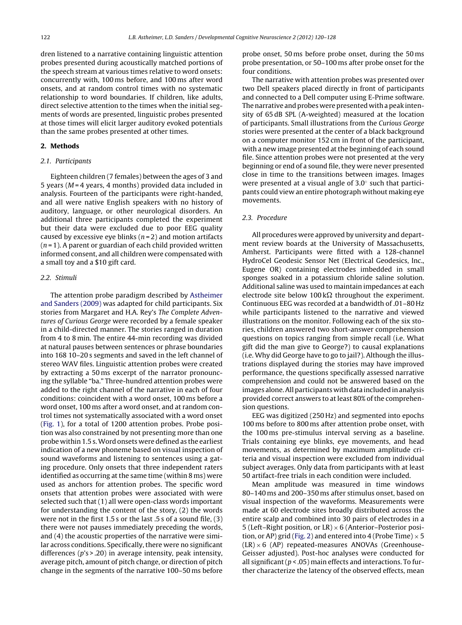dren listened to a narrative containing linguistic attention probes presented during acoustically matched portions of the speech stream at various times relative to word onsets: concurrently with, 100 ms before, and 100 ms after word onsets, and at random control times with no systematic relationship to word boundaries. If children, like adults, direct selective attention to the times when the initial segments of words are presented, linguistic probes presented at those times will elicit larger auditory evoked potentials than the same probes presented at other times.

## **2. Methods**

## 2.1. Participants

Eighteen children (7 females) between the ages of 3 and 5 years ( $M = 4$  years, 4 months) provided data included in analysis. Fourteen of the participants were right-handed, and all were native English speakers with no history of auditory, language, or other neurological disorders. An additional three participants completed the experiment but their data were excluded due to poor EEG quality caused by excessive eye blinks  $(n=2)$  and motion artifacts  $(n=1)$ . A parent or guardian of each child provided written informed consent, and all children were compensated with a small toy and a \$10 gift card.

## 2.2. Stimuli

The attention probe paradigm described by [Astheimer](#page-7-0) [and](#page-7-0) [Sanders](#page-7-0) [\(2009\)](#page-7-0) was adapted for child participants. Six stories from Margaret and H.A. Rey's The Complete Adventures of Curious George were recorded by a female speaker in a child-directed manner. The stories ranged in duration from 4 to 8 min. The entire 44-min recording was divided at natural pauses between sentences or phrase boundaries into 168 10–20 s segments and saved in the left channel of stereo WAV files. Linguistic attention probes were created by extracting a 50 ms excerpt of the narrator pronouncing the syllable "ba." Three-hundred attention probes were added to the right channel of the narrative in each of four conditions: coincident with a word onset, 100 ms before a word onset, 100 ms after a word onset, and at random control times not systematically associated with a word onset [\(Fig.](#page-3-0) 1), for a total of 1200 attention probes. Probe position was also constrained by not presenting more than one probe within 1.5 s.Word onsets were defined as the earliest indication of a new phoneme based on visual inspection of sound waveforms and listening to sentences using a gating procedure. Only onsets that three independent raters identified as occurring at the same time (within 8 ms) were used as anchors for attention probes. The specific word onsets that attention probes were associated with were selected such that (1) all were open-class words important for understanding the content of the story, (2) the words were not in the first 1.5 s or the last .5 s of a sound file, (3) there were not pauses immediately preceding the words, and (4) the acoustic properties of the narrative were similar across conditions. Specifically, there were no significant differences  $(p's > .20)$  in average intensity, peak intensity, average pitch, amount of pitch change, or direction of pitch change in the segments of the narrative 100–50 ms before

probe onset, 50 ms before probe onset, during the 50 ms probe presentation, or 50–100 ms after probe onset for the four conditions.

The narrative with attention probes was presented over two Dell speakers placed directly in front of participants and connected to a Dell computer using E-Prime software. The narrative and probes were presented with a peak intensity of 65 dB SPL (A-weighted) measured at the location of participants. Small illustrations from the Curious George stories were presented at the center of a black background on a computer monitor 152 cm in front of the participant, with a new image presented at the beginning of each sound file. Since attention probes were not presented at the very beginning or end of a sound file, they were never presented close in time to the transitions between images. Images were presented at a visual angle of 3.0◦ such that participants could view an entire photograph without making eye movements.

## 2.3. Procedure

All procedures were approved by university and department review boards at the University of Massachusetts, Amherst. Participants were fitted with a 128-channel HydroCel Geodesic Sensor Net (Electrical Geodesics, Inc., Eugene OR) containing electrodes imbedded in small sponges soaked in a potassium chloride saline solution. Additional saline was used to maintain impedances at each electrode site below 100 k $\Omega$  throughout the experiment. Continuous EEG was recorded at a bandwidth of .01–80 Hz while participants listened to the narrative and viewed illustrations on the monitor. Following each of the six stories, children answered two short-answer comprehension questions on topics ranging from simple recall (i.e. What gift did the man give to George?) to causal explanations (i.e. Why did George have to go to jail?). Although the illustrations displayed during the stories may have improved performance, the questions specifically assessed narrative comprehension and could not be answered based on the images alone. All participants with data included in analysis provided correct answers to at least 80% of the comprehension questions.

EEG was digitized (250 Hz) and segmented into epochs 100 ms before to 800 ms after attention probe onset, with the 100 ms pre-stimulus interval serving as a baseline. Trials containing eye blinks, eye movements, and head movements, as determined by maximum amplitude criteria and visual inspection were excluded from individual subject averages. Only data from participants with at least 50 artifact-free trials in each condition were included.

Mean amplitude was measured in time windows 80–140 ms and 200–350 ms after stimulus onset, based on visual inspection of the waveforms. Measurements were made at 60 electrode sites broadly distributed across the entire scalp and combined into 30 pairs of electrodes in a 5 (Left–Right position, or LR)  $\times$  6 (Anterior–Posterior posi-tion, or AP) grid ([Fig.](#page-4-0) 2) and entered into 4 (Probe Time)  $\times$  5  $(LR) \times 6$  (AP) repeated-measures ANOVAs (Greenhouse-Geisser adjusted). Post-hoc analyses were conducted for all significant ( $p < .05$ ) main effects and interactions. To further characterize the latency of the observed effects, mean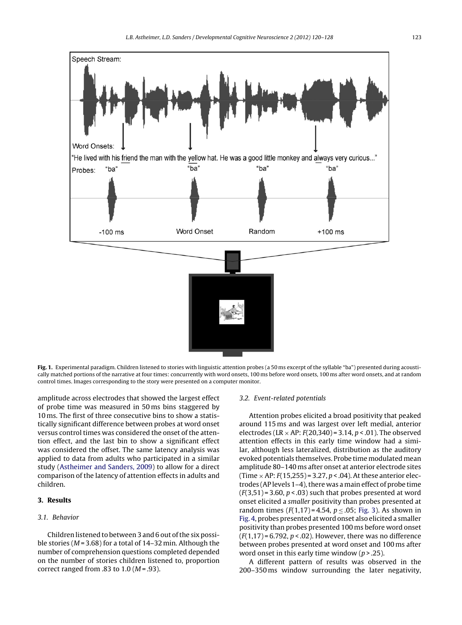<span id="page-3-0"></span>

**Fig. 1.** Experimental paradigm. Children listened to stories with linguistic attention probes (a 50 ms excerpt of the syllable "ba") presented during acoustically matched portions of the narrative at four times: concurrently with word onsets, 100 ms before word onsets, 100 ms after word onsets, and at random control times. Images corresponding to the story were presented on a computer monitor.

amplitude across electrodes that showed the largest effect of probe time was measured in 50 ms bins staggered by 10 ms. The first of three consecutive bins to show a statistically significant difference between probes at word onset versus control times was considered the onset of the attention effect, and the last bin to show a significant effect was considered the offset. The same latency analysis was applied to data from adults who participated in a similar study [\(Astheimer](#page-7-0) [and](#page-7-0) [Sanders,](#page-7-0) [2009\)](#page-7-0) to allow for a direct comparison of the latency of attention effects in adults and children.

## **3. Results**

## 3.1. Behavior

Children listened to between 3 and 6 out of the six possible stories ( $M = 3.68$ ) for a total of 14–32 min. Although the number of comprehension questions completed depended on the number of stories children listened to, proportion correct ranged from .83 to  $1.0$  ( $M = .93$ ).

#### 3.2. Event-related potentials

Attention probes elicited a broad positivity that peaked around 115 ms and was largest over left medial, anterior electrodes (LR  $\times$  AP:  $F(20,340)$  = 3.14,  $p$  < .01). The observed attention effects in this early time window had a similar, although less lateralized, distribution as the auditory evoked potentials themselves. Probe time modulated mean amplitude 80–140 ms after onset at anterior electrode sites (Time  $\times$  AP:  $F(15,255) = 3.27, p < .04$ ). At these anterior electrodes (AP levels  $1-4$ ), there was a main effect of probe time  $(F(3,51) = 3.60, p < .03)$  such that probes presented at word onset elicited a smaller positivity than probes presented at random times  $(F(1,17) = 4.54, p \le .05;$  [Fig.](#page-4-0) 3). As shown in [Fig.](#page-5-0) 4, probes presented at word onset also elicited a smaller positivity than probes presented 100 ms before word onset  $(F(1,17) = 6.792, p < .02)$ . However, there was no difference between probes presented at word onset and 100 ms after word onset in this early time window  $(p > .25)$ .

A different pattern of results was observed in the 200–350 ms window surrounding the later negativity,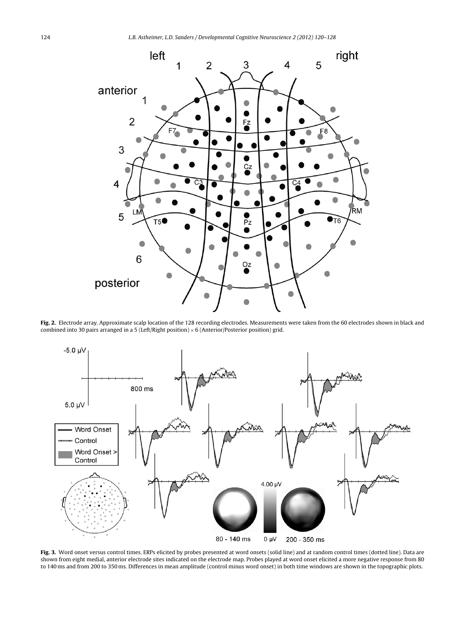<span id="page-4-0"></span>

**Fig. 2.** Electrode array. Approximate scalp location of the 128 recording electrodes. Measurements were taken from the 60 electrodes shown in black and combined into 30 pairs arranged in a 5 (Left/Right position)  $\times$  6 (Anterior/Posterior position) grid.



Fig. 3. Word onset versus control times. ERPs elicited by probes presented at word onsets (solid line) and at random control times (dotted line). Data are shown from eight medial, anterior electrode sites indicated on the electrode map. Probes played at word onset elicited a more negative response from 80 to 140 ms and from 200 to 350 ms. Differences in mean amplitude (control minus word onset) in both time windows are shown in the topographic plots.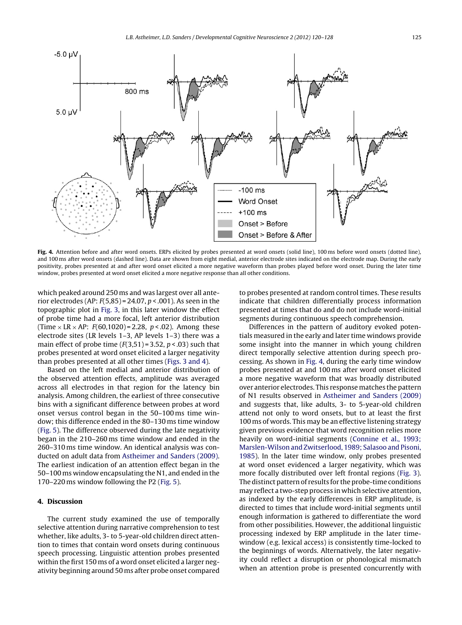

<span id="page-5-0"></span>

**Fig. 4.** Attention before and after word onsets. ERPs elicited by probes presented at word onsets (solid line), 100 ms before word onsets (dotted line), and 100 ms after word onsets (dashed line). Data are shown from eight medial, anterior electrode sites indicated on the electrode map. During the early positivity, probes presented at and after word onset elicited a more negative waveform than probes played before word onset. During the later time window, probes presented at word onset elicited a more negative response than all other conditions.

which peaked around 250 ms and was largest over all anterior electrodes (AP:  $F(5,85) = 24.07$ ,  $p < .001$ ). As seen in the topographic plot in [Fig.](#page-4-0) 3, in this later window the effect of probe time had a more focal, left anterior distribution (Time  $\times$  LR  $\times$  AP:  $F(60,1020) = 2.28$ ,  $p < .02$ ). Among these electrode sites (LR levels 1–3, AP levels 1–3) there was a main effect of probe time  $(F(3,51) = 3.52, p < .03)$  such that probes presented at word onset elicited a larger negativity than probes presented at all other times ([Figs.](#page-4-0) 3 and 4).

Based on the left medial and anterior distribution of the observed attention effects, amplitude was averaged across all electrodes in that region for the latency bin analysis. Among children, the earliest of three consecutive bins with a significant difference between probes at word onset versus control began in the 50–100 ms time window; this difference ended in the 80–130 ms time window [\(Fig.](#page-6-0) 5). The difference observed during the late negativity began in the 210–260 ms time window and ended in the 260–310 ms time window. An identical analysis was conducted on adult data from [Astheimer](#page-7-0) [and](#page-7-0) [Sanders](#page-7-0) [\(2009\).](#page-7-0) The earliest indication of an attention effect began in the 50–100 ms window encapsulating the N1, and ended in the 170–220 ms window following the P2 ([Fig.](#page-6-0) 5).

## **4. Discussion**

The current study examined the use of temporally selective attention during narrative comprehension to test whether, like adults, 3- to 5-year-old children direct attention to times that contain word onsets during continuous speech processing. Linguistic attention probes presented within the first 150 ms of a word onset elicited a larger negativity beginning around 50 ms after probe onset compared to probes presented at random control times. These results indicate that children differentially process information presented at times that do and do not include word-initial segments during continuous speech comprehension.

Differences in the pattern of auditory evoked potentials measured in the early and later time windows provide some insight into the manner in which young children direct temporally selective attention during speech processing. As shown in Fig. 4, during the early time window probes presented at and 100 ms after word onset elicited a more negative waveform that was broadly distributed over anterior electrodes. This response matches the pattern of N1 results observed in [Astheimer](#page-7-0) [and](#page-7-0) [Sanders](#page-7-0) [\(2009\)](#page-7-0) and suggests that, like adults, 3- to 5-year-old children attend not only to word onsets, but to at least the first 100 ms of words. This may be an effective listening strategy given previous evidence that word recognition relies more heavily on word-initial segments [\(Connine](#page-7-0) et [al.,](#page-7-0) [1993;](#page-7-0) [Marslen-Wilson](#page-7-0) [and](#page-7-0) [Zwitserlood,](#page-7-0) [1989;](#page-7-0) [Salasoo](#page-7-0) [and](#page-7-0) [Pisoni,](#page-7-0) [1985\).](#page-7-0) In the later time window, only probes presented at word onset evidenced a larger negativity, which was more focally distributed over left frontal regions ([Fig.](#page-4-0) 3). The distinct pattern of results for the probe-time conditions may reflect a two-step process in which selective attention, as indexed by the early differences in ERP amplitude, is directed to times that include word-initial segments until enough information is gathered to differentiate the word from other possibilities. However, the additional linguistic processing indexed by ERP amplitude in the later timewindow (e.g. lexical access) is consistently time-locked to the beginnings of words. Alternatively, the later negativity could reflect a disruption or phonological mismatch when an attention probe is presented concurrently with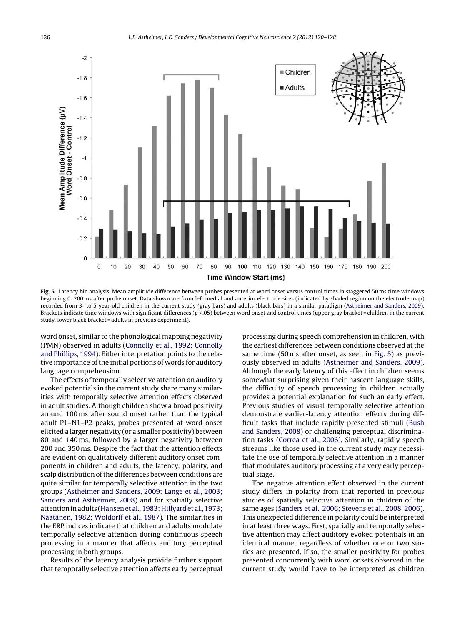<span id="page-6-0"></span>

**Fig. 5.** Latency bin analysis. Mean amplitude difference between probes presented at word onset versus control times in staggered 50 ms time windows beginning 0–200 ms after probe onset. Data shown are from left medial and anterior electrode sites (indicated by shaded region on the electrode map) recorded from 3- to 5-year-old children in the current study (gray bars) and adults (black bars) in a similar paradigm [\(Astheimer](#page-7-0) [and](#page-7-0) [Sanders,](#page-7-0) [2009\).](#page-7-0) Brackets indicate time windows with significant differences ( $p < .05$ ) between word onset and control times (upper gray bracket = children in the current study, lower black bracket = adults in previous experiment).

word onset, similar to the phonological mapping negativity (PMN) observed in adults [\(Connolly](#page-7-0) et [al.,](#page-7-0) [1992;](#page-7-0) [Connolly](#page-7-0) [and](#page-7-0) [Phillips,](#page-7-0) [1994\).](#page-7-0) Either interpretation points to the relative importance of the initial portions of words for auditory language comprehension.

The effects of temporally selective attention on auditory evoked potentials in the current study share many similarities with temporally selective attention effects observed in adult studies. Although children show a broad positivity around 100 ms after sound onset rather than the typical adult P1–N1–P2 peaks, probes presented at word onset elicited a larger negativity (or a smaller positivity) between 80 and 140 ms, followed by a larger negativity between 200 and 350 ms. Despite the fact that the attention effects are evident on qualitatively different auditory onset components in children and adults, the latency, polarity, and scalp distribution of the differences between conditions are quite similar for temporally selective attention in the two groups ([Astheimer](#page-7-0) [and](#page-7-0) [Sanders,](#page-7-0) [2009;](#page-7-0) [Lange](#page-7-0) et [al.,](#page-7-0) [2003;](#page-7-0) [Sanders](#page-7-0) [and](#page-7-0) [Astheimer,](#page-7-0) [2008\)](#page-7-0) and for spatially selective attention in adults (Hansen et [al.,](#page-8-0) 1983; Hillyard et al., [1973;](#page-8-0) [Näätänen,](#page-8-0) [1982;](#page-8-0) [Woldorff](#page-8-0) et [al.,](#page-8-0) [1987\).](#page-8-0) The similarities in the ERP indices indicate that children and adults modulate temporally selective attention during continuous speech processing in a manner that affects auditory perceptual processing in both groups.

Results of the latency analysis provide further support that temporally selective attention affects early perceptual

processing during speech comprehension in children, with the earliest differences between conditions observed at the same time (50 ms after onset, as seen in Fig. 5) as previously observed in adults ([Astheimer](#page-7-0) [and](#page-7-0) [Sanders,](#page-7-0) [2009\).](#page-7-0) Although the early latency of this effect in children seems somewhat surprising given their nascent language skills, the difficulty of speech processing in children actually provides a potential explanation for such an early effect. Previous studies of visual temporally selective attention demonstrate earlier-latency attention effects during difficult tasks that include rapidly presented stimuli [\(Bush](#page-7-0) [and](#page-7-0) [Sanders,](#page-7-0) [2008\)](#page-7-0) or challenging perceptual discrimination tasks [\(Correa](#page-8-0) et [al.,](#page-8-0) [2006\).](#page-8-0) Similarly, rapidly speech streams like those used in the current study may necessitate the use of temporally selective attention in a manner that modulates auditory processing at a very early perceptual stage.

The negative attention effect observed in the current study differs in polarity from that reported in previous studies of spatially selective attention in children of the same ages ([Sanders](#page-8-0) et [al.,](#page-8-0) [2006;](#page-8-0) [Stevens](#page-8-0) et [al.,](#page-8-0) [2008,](#page-8-0) [2006\).](#page-8-0) This unexpected difference in polarity could be interpreted in at least three ways. First, spatially and temporally selective attention may affect auditory evoked potentials in an identical manner regardless of whether one or two stories are presented. If so, the smaller positivity for probes presented concurrently with word onsets observed in the current study would have to be interpreted as children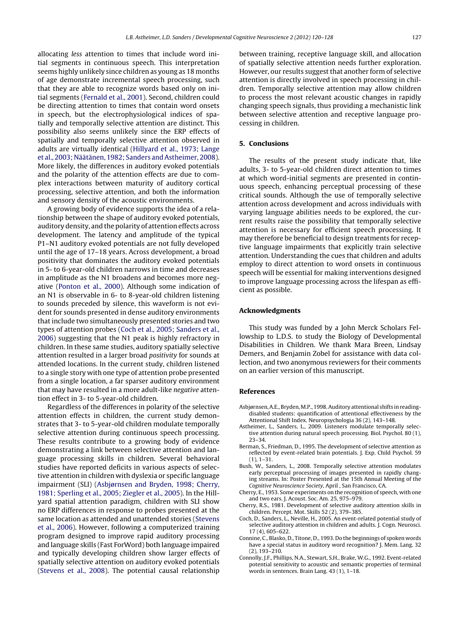<span id="page-7-0"></span>allocating less attention to times that include word initial segments in continuous speech. This interpretation seems highly unlikely since children as young as 18 months of age demonstrate incremental speech processing, such that they are able to recognize words based only on initial segments [\(Fernald](#page-8-0) et [al.,](#page-8-0) [2001\).](#page-8-0) Second, children could be directing attention to times that contain word onsets in speech, but the electrophysiological indices of spatially and temporally selective attention are distinct. This possibility also seems unlikely since the ERP effects of spatially and temporally selective attention observed in adults are virtually identical [\(Hillyard](#page-8-0) et [al.,](#page-8-0) [1973;](#page-8-0) [Lange](#page-8-0) et [al.,](#page-8-0) [2003;](#page-8-0) [Näätänen,](#page-8-0) [1982;](#page-8-0) [Sanders](#page-8-0) and Astheimer, [2008\).](#page-8-0) More likely, the differences in auditory evoked potentials and the polarity of the attention effects are due to complex interactions between maturity of auditory cortical processing, selective attention, and both the information and sensory density of the acoustic environments.

A growing body of evidence supports the idea of a relationship between the shape of auditory evoked potentials, auditory density, and the polarity of attention effects across development. The latency and amplitude of the typical P1–N1 auditory evoked potentials are not fully developed until the age of 17–18 years. Across development, a broad positivity that dominates the auditory evoked potentials in 5- to 6-year-old children narrows in time and decreases in amplitude as the N1 broadens and becomes more negative ([Ponton](#page-8-0) et [al.,](#page-8-0) [2000\).](#page-8-0) Although some indication of an N1 is observable in 6- to 8-year-old children listening to sounds preceded by silence, this waveform is not evident for sounds presented in dense auditory environments that include two simultaneously presented stories and two types of attention probes (Coch et al., 2005; Sanders et al., 2006) suggesting that the N1 peak is highly refractory in children. In these same studies, auditory spatially selective attention resulted in a larger broad positivity for sounds at attended locations. In the current study, children listened to a single story with one type of attention probe presented from a single location, a far sparser auditory environment that may have resulted in a more adult-like negative attention effect in 3- to 5-year-old children.

Regardless of the differences in polarity of the selective attention effects in children, the current study demonstrates that 3- to 5-year-old children modulate temporally selective attention during continuous speech processing. These results contribute to a growing body of evidence demonstrating a link between selective attention and language processing skills in children. Several behavioral studies have reported deficits in various aspects of selective attention in children with dyslexia or specific language impairment (SLI) (Asbjørnsen and Bryden, 1998; Cherry, 1981; Sperling et al., 2005; Ziegler et al., 2005). In the Hillyard spatial attention paradigm, children with SLI show no ERP differences in response to probes presented at the same location as attended and unattended stories [\(Stevens](#page-8-0) et [al.,](#page-8-0) [2006\).](#page-8-0) However, following a computerized training program designed to improve rapid auditory processing and language skills (Fast ForWord) both language impaired and typically developing children show larger effects of spatially selective attention on auditory evoked potentials [\(Stevens](#page-8-0) et [al.,](#page-8-0) [2008\).](#page-8-0) The potential causal relationship

between training, receptive language skill, and allocation of spatially selective attention needs further exploration. However, our results suggest that another form of selective attention is directly involved in speech processing in children. Temporally selective attention may allow children to process the most relevant acoustic changes in rapidly changing speech signals, thus providing a mechanistic link between selective attention and receptive language processing in children.

## **5. Conclusions**

The results of the present study indicate that, like adults, 3- to 5-year-old children direct attention to times at which word-initial segments are presented in continuous speech, enhancing perceptual processing of these critical sounds. Although the use of temporally selective attention across development and across individuals with varying language abilities needs to be explored, the current results raise the possibility that temporally selective attention is necessary for efficient speech processing. It may therefore be beneficial to design treatments for receptive language impairments that explicitly train selective attention. Understanding the cues that children and adults employ to direct attention to word onsets in continuous speech will be essential for making interventions designed to improve language processing across the lifespan as efficient as possible.

## **Acknowledgments**

This study was funded by a John Merck Scholars Fellowship to L.D.S. to study the Biology of Developmental Disabilities in Children. We thank Mara Breen, Lindsay Demers, and Benjamin Zobel for assistance with data collection, and two anonymous reviewers for their comments on an earlier version of this manuscript.

### **References**

- Asbjørnsen, A.E., Bryden, M.P., 1998. Auditory attentional shifts in readingdisabled students: quantification of attentional effectiveness by the Attentional Shift Index. Neuropsychologia 36 (2), 143–148.
- Astheimer, L., Sanders, L., 2009. Listeners modulate temporally selective attention during natural speech processing. Biol. Psychol. 80 (1), 23–34.
- Berman, S., Friedman, D., 1995. The development of selective attention as reflected by event-related brain potentials. J. Exp. Child Psychol. 59 (1), 1–31.
- Bush, W., Sanders, L., 2008. Temporally selective attention modulates early perceptual processing of images presented in rapidly changing streams. In: Poster Presented at the 15th Annual Meeting of the Cognitive Neuroscience Society, April , San Francisco, CA.
- Cherry, E., 1953. Some experiments on the recognition of speech, with one and two ears. J. Acoust. Soc. Am. 25, 975–979.
- Cherry, R.S., 1981. Development of selective auditory attention skills in children. Percept. Mot. Skills 52 (2), 379–385.
- Coch, D., Sanders, L., Neville, H., 2005. An event-related potential study of selective auditory attention in children and adults. J. Cogn. Neurosci. 17 (4), 605–622.
- Connine, C., Blasko, D., Titone, D., 1993. Do the beginnings of spoken words have a special status in auditory word recognition? J. Mem. Lang. 32 (2), 193–210.
- Connolly, J.F., Phillips, N.A., Stewart, S.H., Brake, W.G., 1992. Event-related potential sensitivity to acoustic and semantic properties of terminal words in sentences. Brain Lang. 43 (1), 1–18.